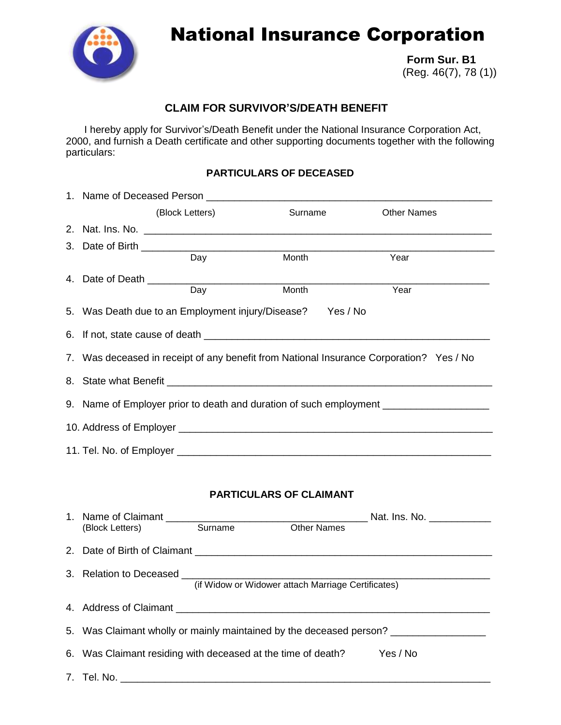

# National Insurance Corporation

 **Form Sur. B1** (Reg. 46(7), 78 (1))

## **CLAIM FOR SURVIVOR'S/DEATH BENEFIT**

I hereby apply for Survivor's/Death Benefit under the National Insurance Corporation Act, 2000, and furnish a Death certificate and other supporting documents together with the following particulars:

## **PARTICULARS OF DECEASED**

|                                |                                                                                         | (Block Letters) | Surname | <b>Other Names</b> |  |  |  |
|--------------------------------|-----------------------------------------------------------------------------------------|-----------------|---------|--------------------|--|--|--|
|                                |                                                                                         |                 |         |                    |  |  |  |
|                                | 3. Date of Birth _________                                                              |                 |         |                    |  |  |  |
|                                |                                                                                         | Day             | Month   | Year               |  |  |  |
|                                |                                                                                         | Day             | Month   | Year               |  |  |  |
|                                | 5. Was Death due to an Employment injury/Disease? Yes / No                              |                 |         |                    |  |  |  |
|                                |                                                                                         |                 |         |                    |  |  |  |
|                                | 7. Was deceased in receipt of any benefit from National Insurance Corporation? Yes / No |                 |         |                    |  |  |  |
|                                |                                                                                         |                 |         |                    |  |  |  |
|                                | 9. Name of Employer prior to death and duration of such employment _____________        |                 |         |                    |  |  |  |
|                                |                                                                                         |                 |         |                    |  |  |  |
|                                |                                                                                         |                 |         |                    |  |  |  |
| <b>PARTICULARS OF CLAIMANT</b> |                                                                                         |                 |         |                    |  |  |  |
|                                | (Block Letters)                                                                         |                 |         |                    |  |  |  |
|                                |                                                                                         |                 |         |                    |  |  |  |
|                                | (if Widow or Widower attach Marriage Certificates)                                      |                 |         |                    |  |  |  |
|                                |                                                                                         |                 |         |                    |  |  |  |
|                                | 5. Was Claimant wholly or mainly maintained by the deceased person? _____________       |                 |         |                    |  |  |  |
|                                | 6. Was Claimant residing with deceased at the time of death?<br>Yes / No                |                 |         |                    |  |  |  |
|                                |                                                                                         |                 |         |                    |  |  |  |